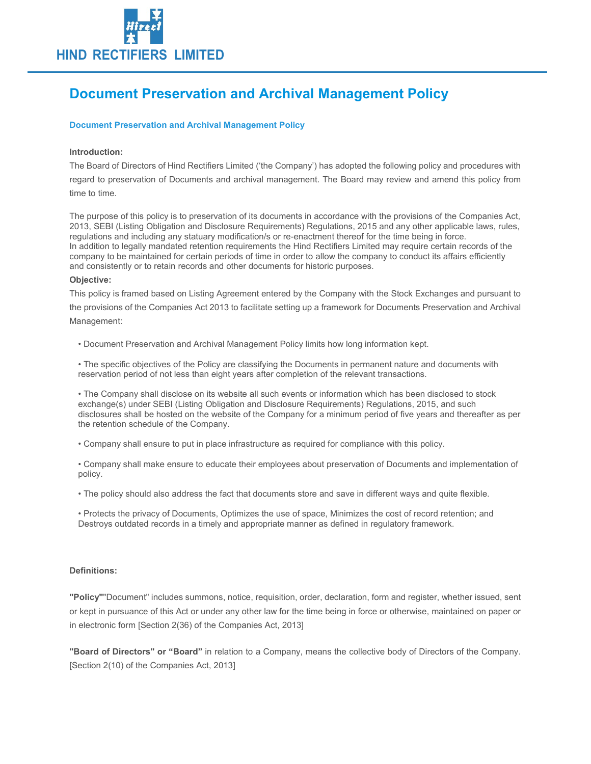

# Document Preservation and Archival Management Policy

#### Document Preservation and Archival Management Policy

#### Introduction:

The Board of Directors of Hind Rectifiers Limited ('the Company') has adopted the following policy and procedures with regard to preservation of Documents and archival management. The Board may review and amend this policy from time to time.

The purpose of this policy is to preservation of its documents in accordance with the provisions of the Companies Act, 2013, SEBI (Listing Obligation and Disclosure Requirements) Regulations, 2015 and any other applicable laws, rules, regulations and including any statuary modification/s or re-enactment thereof for the time being in force. In addition to legally mandated retention requirements the Hind Rectifiers Limited may require certain records of the company to be maintained for certain periods of time in order to allow the company to conduct its affairs efficiently and consistently or to retain records and other documents for historic purposes.

#### Objective:

This policy is framed based on Listing Agreement entered by the Company with the Stock Exchanges and pursuant to the provisions of the Companies Act 2013 to facilitate setting up a framework for Documents Preservation and Archival Management:

• Document Preservation and Archival Management Policy limits how long information kept.

• The specific objectives of the Policy are classifying the Documents in permanent nature and documents with reservation period of not less than eight years after completion of the relevant transactions.

• The Company shall disclose on its website all such events or information which has been disclosed to stock exchange(s) under SEBI (Listing Obligation and Disclosure Requirements) Regulations, 2015, and such disclosures shall be hosted on the website of the Company for a minimum period of five years and thereafter as per the retention schedule of the Company.

• Company shall ensure to put in place infrastructure as required for compliance with this policy.

• Company shall make ensure to educate their employees about preservation of Documents and implementation of policy.

• The policy should also address the fact that documents store and save in different ways and quite flexible.

• Protects the privacy of Documents, Optimizes the use of space, Minimizes the cost of record retention; and Destroys outdated records in a timely and appropriate manner as defined in regulatory framework.

#### Definitions:

"Policy""Document" includes summons, notice, requisition, order, declaration, form and register, whether issued, sent or kept in pursuance of this Act or under any other law for the time being in force or otherwise, maintained on paper or in electronic form [Section 2(36) of the Companies Act, 2013]

"Board of Directors" or "Board" in relation to a Company, means the collective body of Directors of the Company. [Section 2(10) of the Companies Act, 2013]